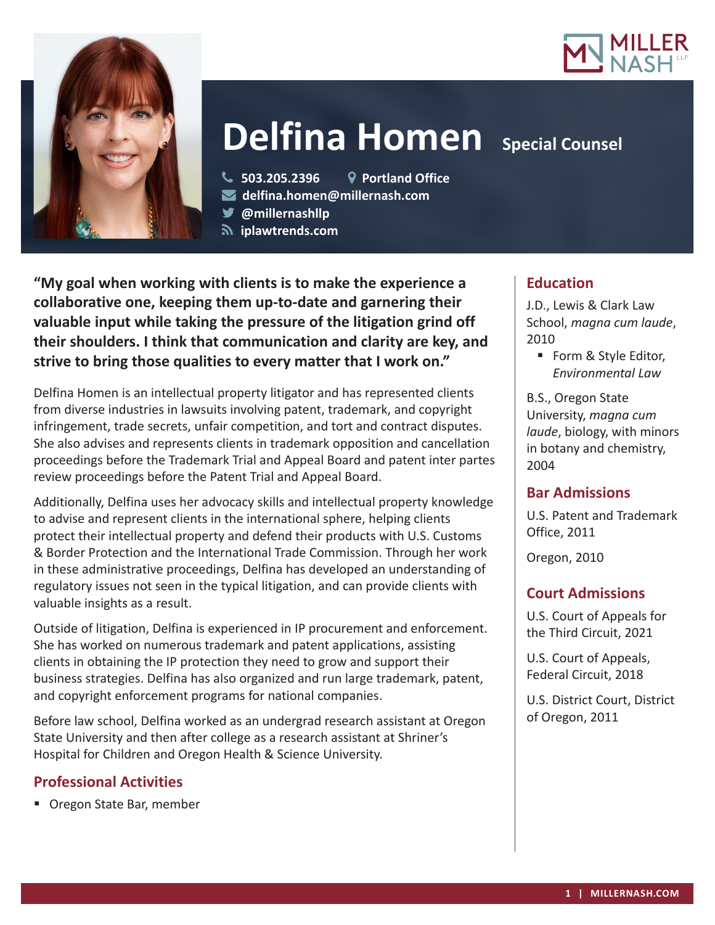



# **Delfina Homen** Special Counsel

**503.205.2396 Portland Office**

- **delfina.homen@millernash.com**
- **@millernashllp**
- **iplawtrends.com**

**"My goal when working with clients is to make the experience a collaborative one, keeping them up-to-date and garnering their valuable input while taking the pressure of the litigation grind off their shoulders. I think that communication and clarity are key, and strive to bring those qualities to every matter that I work on."**

Delfina Homen is an intellectual property litigator and has represented clients from diverse industries in lawsuits involving patent, trademark, and copyright infringement, trade secrets, unfair competition, and tort and contract disputes. She also advises and represents clients in trademark opposition and cancellation proceedings before the Trademark Trial and Appeal Board and patent inter partes review proceedings before the Patent Trial and Appeal Board.

Additionally, Delfina uses her advocacy skills and intellectual property knowledge to advise and represent clients in the international sphere, helping clients protect their intellectual property and defend their products with U.S. Customs & Border Protection and the International Trade Commission. Through her work in these administrative proceedings, Delfina has developed an understanding of regulatory issues not seen in the typical litigation, and can provide clients with valuable insights as a result.

Outside of litigation, Delfina is experienced in IP procurement and enforcement. She has worked on numerous trademark and patent applications, assisting clients in obtaining the IP protection they need to grow and support their business strategies. Delfina has also organized and run large trademark, patent, and copyright enforcement programs for national companies.

Before law school, Delfina worked as an undergrad research assistant at Oregon State University and then after college as a research assistant at Shriner's Hospital for Children and Oregon Health & Science University.

## **Professional Activities**

■ Oregon State Bar, member

# **Education**

J.D., Lewis & Clark Law School, *magna cum laude*, 2010

■ Form & Style Editor, *Environmental Law*

B.S., Oregon State University, *magna cum laude*, biology, with minors in botany and chemistry, 2004

## **Bar Admissions**

U.S. Patent and Trademark Office, 2011

Oregon, 2010

# **Court Admissions**

U.S. Court of Appeals for the Third Circuit, 2021

U.S. Court of Appeals, Federal Circuit, 2018

U.S. District Court, District of Oregon, 2011